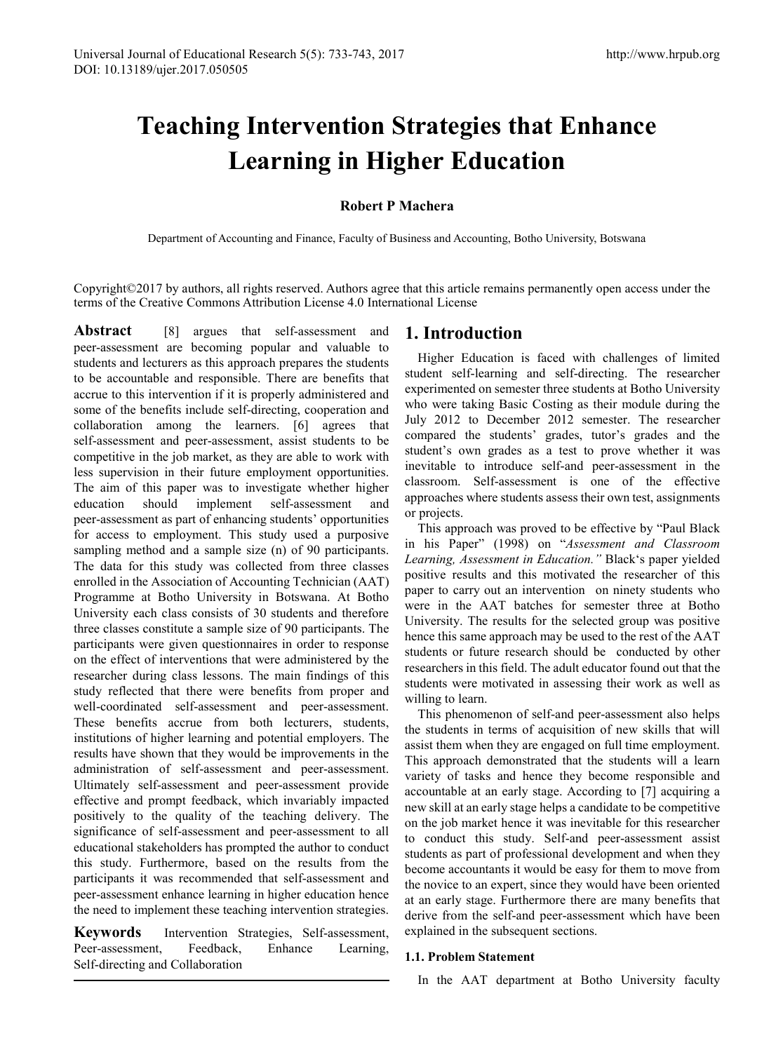# **Teaching Intervention Strategies that Enhance Learning in Higher Education**

# **Robert P Machera**

Department of Accounting and Finance, Faculty of Business and Accounting, Botho University, Botswana

Copyright©2017 by authors, all rights reserved. Authors agree that this article remains permanently open access under the terms of the Creative Commons Attribution License 4.0 International License

**Abstract** [8] argues that self-assessment and peer-assessment are becoming popular and valuable to students and lecturers as this approach prepares the students to be accountable and responsible. There are benefits that accrue to this intervention if it is properly administered and some of the benefits include self-directing, cooperation and collaboration among the learners. [6] agrees that self-assessment and peer-assessment, assist students to be competitive in the job market, as they are able to work with less supervision in their future employment opportunities. The aim of this paper was to investigate whether higher education should implement self-assessment and peer-assessment as part of enhancing students' opportunities for access to employment. This study used a purposive sampling method and a sample size (n) of 90 participants. The data for this study was collected from three classes enrolled in the Association of Accounting Technician (AAT) Programme at Botho University in Botswana. At Botho University each class consists of 30 students and therefore three classes constitute a sample size of 90 participants. The participants were given questionnaires in order to response on the effect of interventions that were administered by the researcher during class lessons. The main findings of this study reflected that there were benefits from proper and well-coordinated self-assessment and peer-assessment. These benefits accrue from both lecturers, students, institutions of higher learning and potential employers. The results have shown that they would be improvements in the administration of self-assessment and peer-assessment. Ultimately self-assessment and peer-assessment provide effective and prompt feedback, which invariably impacted positively to the quality of the teaching delivery. The significance of self-assessment and peer-assessment to all educational stakeholders has prompted the author to conduct this study. Furthermore, based on the results from the participants it was recommended that self-assessment and peer-assessment enhance learning in higher education hence the need to implement these teaching intervention strategies.

**Keywords** Intervention Strategies, Self-assessment, Peer-assessment, Feedback, Enhance Learning, Self-directing and Collaboration

# **1. Introduction**

Higher Education is faced with challenges of limited student self-learning and self-directing. The researcher experimented on semester three students at Botho University who were taking Basic Costing as their module during the July 2012 to December 2012 semester. The researcher compared the students' grades, tutor's grades and the student's own grades as a test to prove whether it was inevitable to introduce self-and peer-assessment in the classroom. Self-assessment is one of the effective approaches where students assess their own test, assignments or projects.

This approach was proved to be effective by "Paul Black in his Paper" (1998) on "*Assessment and Classroom Learning, Assessment in Education."* Black's paper yielded positive results and this motivated the researcher of this paper to carry out an intervention on ninety students who were in the AAT batches for semester three at Botho University. The results for the selected group was positive hence this same approach may be used to the rest of the AAT students or future research should be conducted by other researchers in this field. The adult educator found out that the students were motivated in assessing their work as well as willing to learn.

This phenomenon of self-and peer-assessment also helps the students in terms of acquisition of new skills that will assist them when they are engaged on full time employment. This approach demonstrated that the students will a learn variety of tasks and hence they become responsible and accountable at an early stage. According to [7] acquiring a new skill at an early stage helps a candidate to be competitive on the job market hence it was inevitable for this researcher to conduct this study. Self-and peer-assessment assist students as part of professional development and when they become accountants it would be easy for them to move from the novice to an expert, since they would have been oriented at an early stage. Furthermore there are many benefits that derive from the self-and peer-assessment which have been explained in the subsequent sections.

## **1.1. Problem Statement**

In the AAT department at Botho University faculty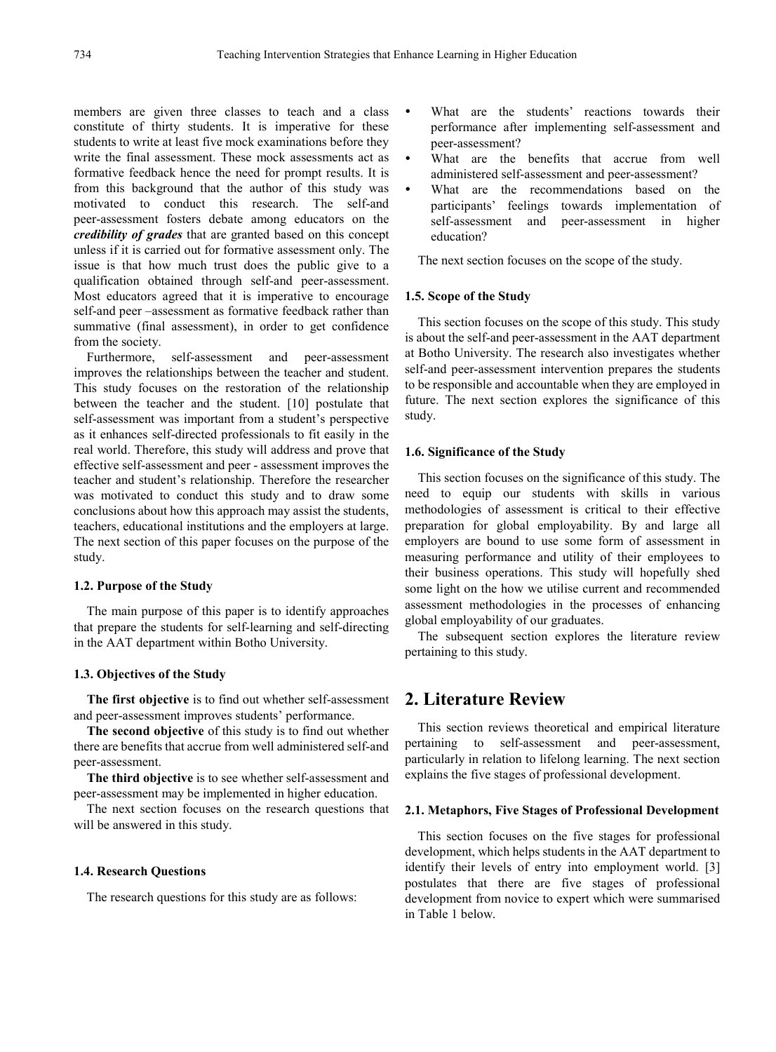members are given three classes to teach and a class constitute of thirty students. It is imperative for these students to write at least five mock examinations before they write the final assessment. These mock assessments act as formative feedback hence the need for prompt results. It is from this background that the author of this study was motivated to conduct this research. The self-and peer-assessment fosters debate among educators on the *credibility of grades* that are granted based on this concept unless if it is carried out for formative assessment only. The issue is that how much trust does the public give to a qualification obtained through self-and peer-assessment. Most educators agreed that it is imperative to encourage self-and peer –assessment as formative feedback rather than summative (final assessment), in order to get confidence from the society.

Furthermore, self-assessment and peer-assessment improves the relationships between the teacher and student. This study focuses on the restoration of the relationship between the teacher and the student. [10] postulate that self-assessment was important from a student's perspective as it enhances self-directed professionals to fit easily in the real world. Therefore, this study will address and prove that effective self-assessment and peer - assessment improves the teacher and student's relationship. Therefore the researcher was motivated to conduct this study and to draw some conclusions about how this approach may assist the students, teachers, educational institutions and the employers at large. The next section of this paper focuses on the purpose of the study.

#### **1.2. Purpose of the Study**

The main purpose of this paper is to identify approaches that prepare the students for self-learning and self-directing in the AAT department within Botho University.

#### **1.3. Objectives of the Study**

**The first objective** is to find out whether self-assessment and peer-assessment improves students' performance.

**The second objective** of this study is to find out whether there are benefits that accrue from well administered self-and peer-assessment.

**The third objective** is to see whether self-assessment and peer-assessment may be implemented in higher education.

The next section focuses on the research questions that will be answered in this study.

#### **1.4. Research Questions**

The research questions for this study are as follows:

- What are the students' reactions towards their performance after implementing self-assessment and peer-assessment?
- What are the benefits that accrue from well administered self-assessment and peer-assessment?
- What are the recommendations based on the participants' feelings towards implementation of self-assessment and peer-assessment in higher education?

The next section focuses on the scope of the study.

#### **1.5. Scope of the Study**

This section focuses on the scope of this study. This study is about the self-and peer-assessment in the AAT department at Botho University. The research also investigates whether self-and peer-assessment intervention prepares the students to be responsible and accountable when they are employed in future. The next section explores the significance of this study.

#### **1.6. Significance of the Study**

This section focuses on the significance of this study. The need to equip our students with skills in various methodologies of assessment is critical to their effective preparation for global employability. By and large all employers are bound to use some form of assessment in measuring performance and utility of their employees to their business operations. This study will hopefully shed some light on the how we utilise current and recommended assessment methodologies in the processes of enhancing global employability of our graduates.

The subsequent section explores the literature review pertaining to this study.

# **2. Literature Review**

This section reviews theoretical and empirical literature pertaining to self-assessment and peer-assessment, particularly in relation to lifelong learning. The next section explains the five stages of professional development.

#### **2.1. Metaphors, Five Stages of Professional Development**

This section focuses on the five stages for professional development, which helps students in the AAT department to identify their levels of entry into employment world. [3] postulates that there are five stages of professional development from novice to expert which were summarised in Table 1 below.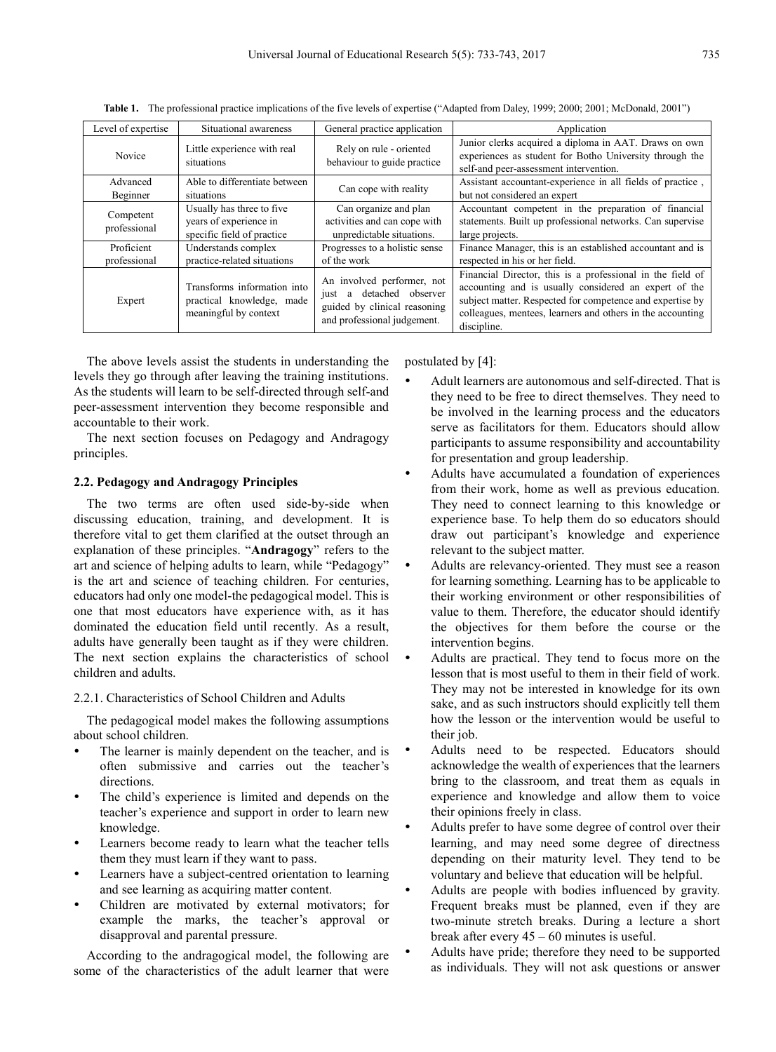| Level of expertise         | Situational awareness                                                              | General practice application                                                                                             | Application                                                                                                                                                                                                                                                   |
|----------------------------|------------------------------------------------------------------------------------|--------------------------------------------------------------------------------------------------------------------------|---------------------------------------------------------------------------------------------------------------------------------------------------------------------------------------------------------------------------------------------------------------|
| Novice                     | Little experience with real<br>situations                                          | Rely on rule - oriented<br>behaviour to guide practice                                                                   | Junior clerks acquired a diploma in AAT. Draws on own<br>experiences as student for Botho University through the<br>self-and peer-assessment intervention.                                                                                                    |
| Advanced<br>Beginner       | Able to differentiate between<br>situations                                        | Can cope with reality                                                                                                    | Assistant accountant-experience in all fields of practice,<br>but not considered an expert                                                                                                                                                                    |
| Competent<br>professional  | Usually has three to five.<br>years of experience in<br>specific field of practice | Can organize and plan<br>activities and can cope with<br>unpredictable situations.                                       | Accountant competent in the preparation of financial<br>statements. Built up professional networks. Can supervise<br>large projects.                                                                                                                          |
| Proficient<br>professional | Understands complex<br>practice-related situations                                 | Progresses to a holistic sense<br>of the work                                                                            | Finance Manager, this is an established accountant and is<br>respected in his or her field.                                                                                                                                                                   |
| Expert                     | Transforms information into<br>practical knowledge, made<br>meaningful by context  | An involved performer, not<br>detached observer<br>just a<br>guided by clinical reasoning<br>and professional judgement. | Financial Director, this is a professional in the field of<br>accounting and is usually considered an expert of the<br>subject matter. Respected for competence and expertise by<br>colleagues, mentees, learners and others in the accounting<br>discipline. |

**Table 1.** The professional practice implications of the five levels of expertise ("Adapted from Daley, 1999; 2000; 2001; McDonald, 2001")

The above levels assist the students in understanding the levels they go through after leaving the training institutions. As the students will learn to be self-directed through self-and peer-assessment intervention they become responsible and accountable to their work.

The next section focuses on Pedagogy and Andragogy principles.

#### **2.2. Pedagogy and Andragogy Principles**

The two terms are often used side-by-side when discussing education, training, and development. It is therefore vital to get them clarified at the outset through an explanation of these principles. "**Andragogy**" refers to the art and science of helping adults to learn, while "Pedagogy" is the art and science of teaching children. For centuries, educators had only one model-the pedagogical model. This is one that most educators have experience with, as it has dominated the education field until recently. As a result, adults have generally been taught as if they were children. The next section explains the characteristics of school children and adults.

## 2.2.1. Characteristics of School Children and Adults

The pedagogical model makes the following assumptions about school children.

- The learner is mainly dependent on the teacher, and is often submissive and carries out the teacher's directions.
- The child's experience is limited and depends on the teacher's experience and support in order to learn new knowledge.
- Learners become ready to learn what the teacher tells them they must learn if they want to pass.
- Learners have a subject-centred orientation to learning and see learning as acquiring matter content.
- Children are motivated by external motivators; for example the marks, the teacher's approval or disapproval and parental pressure.

According to the andragogical model, the following are some of the characteristics of the adult learner that were

postulated by [4]:

- Adult learners are autonomous and self-directed. That is they need to be free to direct themselves. They need to be involved in the learning process and the educators serve as facilitators for them. Educators should allow participants to assume responsibility and accountability for presentation and group leadership.
- Adults have accumulated a foundation of experiences from their work, home as well as previous education. They need to connect learning to this knowledge or experience base. To help them do so educators should draw out participant's knowledge and experience relevant to the subject matter.
- Adults are relevancy-oriented. They must see a reason for learning something. Learning has to be applicable to their working environment or other responsibilities of value to them. Therefore, the educator should identify the objectives for them before the course or the intervention begins.
- Adults are practical. They tend to focus more on the lesson that is most useful to them in their field of work. They may not be interested in knowledge for its own sake, and as such instructors should explicitly tell them how the lesson or the intervention would be useful to their job.
- Adults need to be respected. Educators should acknowledge the wealth of experiences that the learners bring to the classroom, and treat them as equals in experience and knowledge and allow them to voice their opinions freely in class.
- Adults prefer to have some degree of control over their learning, and may need some degree of directness depending on their maturity level. They tend to be voluntary and believe that education will be helpful.
- Adults are people with bodies influenced by gravity. Frequent breaks must be planned, even if they are two-minute stretch breaks. During a lecture a short break after every 45 – 60 minutes is useful.
- Adults have pride; therefore they need to be supported as individuals. They will not ask questions or answer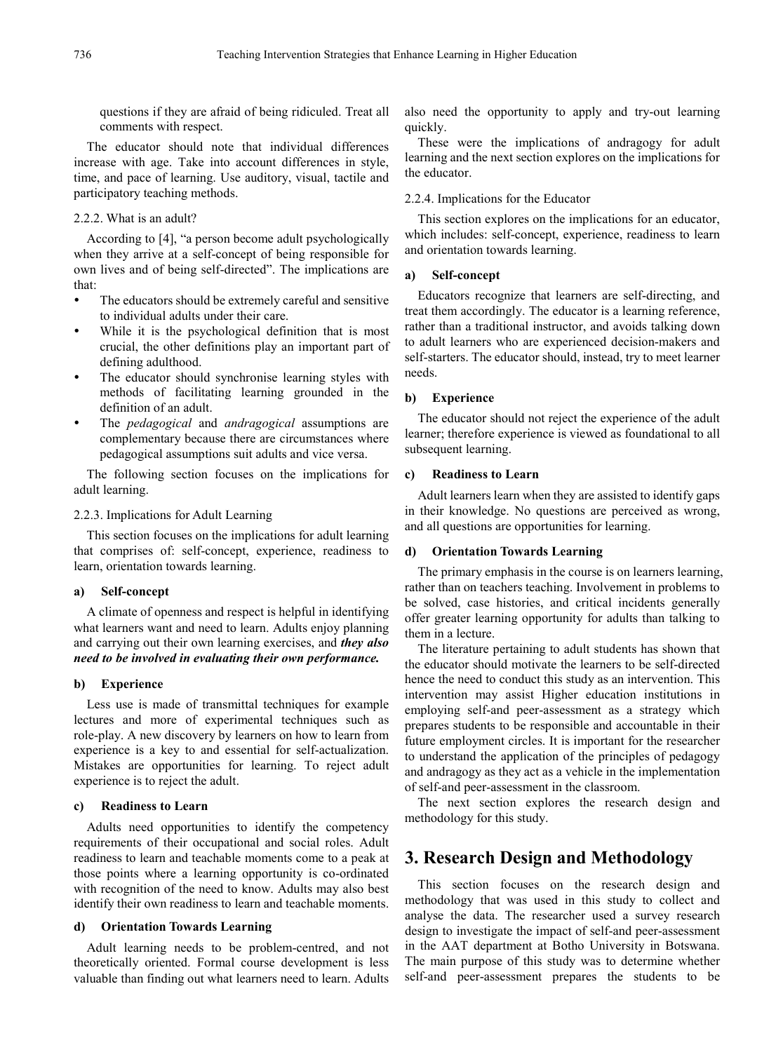questions if they are afraid of being ridiculed. Treat all comments with respect.

The educator should note that individual differences increase with age. Take into account differences in style, time, and pace of learning. Use auditory, visual, tactile and participatory teaching methods.

#### 2.2.2. What is an adult?

According to [4], "a person become adult psychologically when they arrive at a self-concept of being responsible for own lives and of being self-directed". The implications are that:

- The educators should be extremely careful and sensitive to individual adults under their care.
- While it is the psychological definition that is most crucial, the other definitions play an important part of defining adulthood.
- The educator should synchronise learning styles with methods of facilitating learning grounded in the definition of an adult.
- The *pedagogical* and *andragogical* assumptions are complementary because there are circumstances where pedagogical assumptions suit adults and vice versa.

The following section focuses on the implications for adult learning.

#### 2.2.3. Implications for Adult Learning

This section focuses on the implications for adult learning that comprises of: self-concept, experience, readiness to learn, orientation towards learning.

#### **a) Self-concept**

A climate of openness and respect is helpful in identifying what learners want and need to learn. Adults enjoy planning and carrying out their own learning exercises, and *they also need to be involved in evaluating their own performance.*

#### **b) Experience**

Less use is made of transmittal techniques for example lectures and more of experimental techniques such as role-play. A new discovery by learners on how to learn from experience is a key to and essential for self-actualization. Mistakes are opportunities for learning. To reject adult experience is to reject the adult.

#### **c) Readiness to Learn**

Adults need opportunities to identify the competency requirements of their occupational and social roles. Adult readiness to learn and teachable moments come to a peak at those points where a learning opportunity is co-ordinated with recognition of the need to know. Adults may also best identify their own readiness to learn and teachable moments.

#### **d) Orientation Towards Learning**

Adult learning needs to be problem-centred, and not theoretically oriented. Formal course development is less valuable than finding out what learners need to learn. Adults

also need the opportunity to apply and try-out learning quickly.

These were the implications of andragogy for adult learning and the next section explores on the implications for the educator.

## 2.2.4. Implications for the Educator

This section explores on the implications for an educator, which includes: self-concept, experience, readiness to learn and orientation towards learning.

## **a) Self-concept**

Educators recognize that learners are self-directing, and treat them accordingly. The educator is a learning reference, rather than a traditional instructor, and avoids talking down to adult learners who are experienced decision-makers and self-starters. The educator should, instead, try to meet learner needs.

#### **b) Experience**

The educator should not reject the experience of the adult learner; therefore experience is viewed as foundational to all subsequent learning.

#### **c) Readiness to Learn**

Adult learners learn when they are assisted to identify gaps in their knowledge. No questions are perceived as wrong, and all questions are opportunities for learning.

#### **d) Orientation Towards Learning**

The primary emphasis in the course is on learners learning, rather than on teachers teaching. Involvement in problems to be solved, case histories, and critical incidents generally offer greater learning opportunity for adults than talking to them in a lecture.

The literature pertaining to adult students has shown that the educator should motivate the learners to be self-directed hence the need to conduct this study as an intervention. This intervention may assist Higher education institutions in employing self-and peer-assessment as a strategy which prepares students to be responsible and accountable in their future employment circles. It is important for the researcher to understand the application of the principles of pedagogy and andragogy as they act as a vehicle in the implementation of self-and peer-assessment in the classroom.

The next section explores the research design and methodology for this study.

# **3. Research Design and Methodology**

This section focuses on the research design and methodology that was used in this study to collect and analyse the data. The researcher used a survey research design to investigate the impact of self-and peer-assessment in the AAT department at Botho University in Botswana. The main purpose of this study was to determine whether self-and peer-assessment prepares the students to be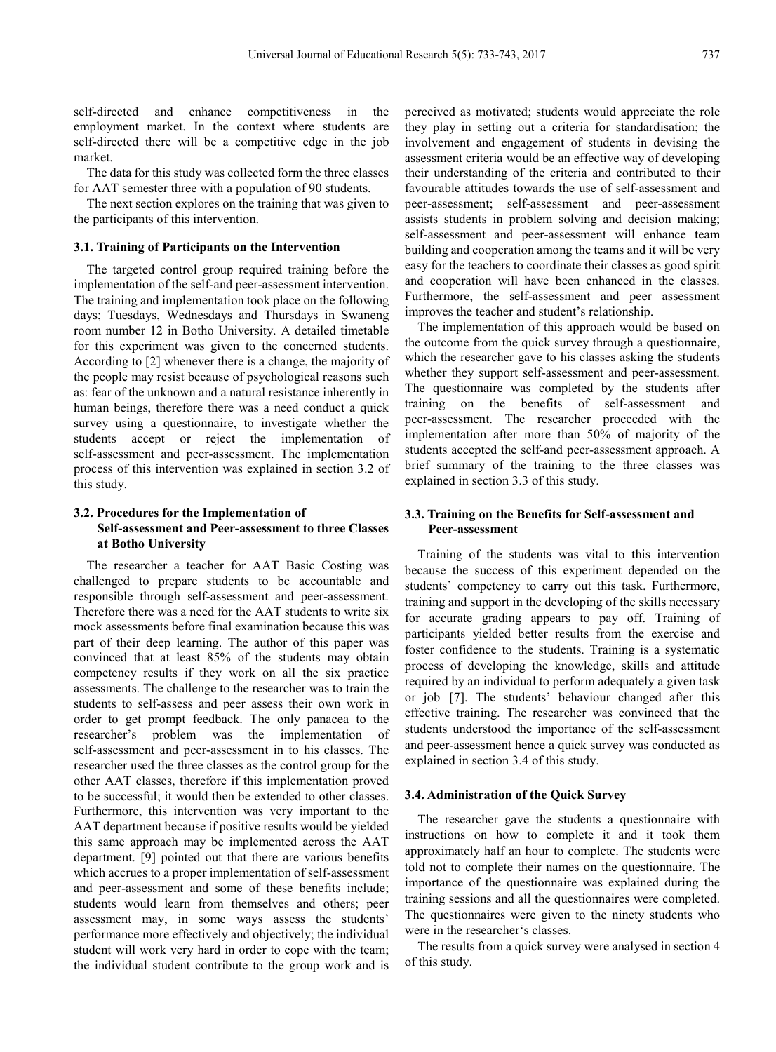self-directed and enhance competitiveness in the employment market. In the context where students are self-directed there will be a competitive edge in the job market.

The data for this study was collected form the three classes for AAT semester three with a population of 90 students.

The next section explores on the training that was given to the participants of this intervention.

#### **3.1. Training of Participants on the Intervention**

The targeted control group required training before the implementation of the self-and peer-assessment intervention. The training and implementation took place on the following days; Tuesdays, Wednesdays and Thursdays in Swaneng room number 12 in Botho University. A detailed timetable for this experiment was given to the concerned students. According to [2] whenever there is a change, the majority of the people may resist because of psychological reasons such as: fear of the unknown and a natural resistance inherently in human beings, therefore there was a need conduct a quick survey using a questionnaire, to investigate whether the students accept or reject the implementation of self-assessment and peer-assessment. The implementation process of this intervention was explained in section 3.2 of this study.

## **3.2. Procedures for the Implementation of Self-assessment and Peer-assessment to three Classes at Botho University**

The researcher a teacher for AAT Basic Costing was challenged to prepare students to be accountable and responsible through self-assessment and peer-assessment. Therefore there was a need for the AAT students to write six mock assessments before final examination because this was part of their deep learning. The author of this paper was convinced that at least 85% of the students may obtain competency results if they work on all the six practice assessments. The challenge to the researcher was to train the students to self-assess and peer assess their own work in order to get prompt feedback. The only panacea to the researcher's problem was the implementation of self-assessment and peer-assessment in to his classes. The researcher used the three classes as the control group for the other AAT classes, therefore if this implementation proved to be successful; it would then be extended to other classes. Furthermore, this intervention was very important to the AAT department because if positive results would be yielded this same approach may be implemented across the AAT department. [9] pointed out that there are various benefits which accrues to a proper implementation of self-assessment and peer-assessment and some of these benefits include; students would learn from themselves and others; peer assessment may, in some ways assess the students' performance more effectively and objectively; the individual student will work very hard in order to cope with the team; the individual student contribute to the group work and is perceived as motivated; students would appreciate the role they play in setting out a criteria for standardisation; the involvement and engagement of students in devising the assessment criteria would be an effective way of developing their understanding of the criteria and contributed to their favourable attitudes towards the use of self-assessment and peer-assessment; self-assessment and peer-assessment assists students in problem solving and decision making; self-assessment and peer-assessment will enhance team building and cooperation among the teams and it will be very easy for the teachers to coordinate their classes as good spirit and cooperation will have been enhanced in the classes. Furthermore, the self-assessment and peer assessment improves the teacher and student's relationship.

The implementation of this approach would be based on the outcome from the quick survey through a questionnaire, which the researcher gave to his classes asking the students whether they support self-assessment and peer-assessment. The questionnaire was completed by the students after training on the benefits of self-assessment and peer-assessment. The researcher proceeded with the implementation after more than 50% of majority of the students accepted the self-and peer-assessment approach. A brief summary of the training to the three classes was explained in section 3.3 of this study.

## **3.3. Training on the Benefits for Self-assessment and Peer-assessment**

Training of the students was vital to this intervention because the success of this experiment depended on the students' competency to carry out this task. Furthermore, training and support in the developing of the skills necessary for accurate grading appears to pay off. Training of participants yielded better results from the exercise and foster confidence to the students. Training is a systematic process of developing the knowledge, skills and attitude required by an individual to perform adequately a given task or job [7]. The students' behaviour changed after this effective training. The researcher was convinced that the students understood the importance of the self-assessment and peer-assessment hence a quick survey was conducted as explained in section 3.4 of this study.

#### **3.4. Administration of the Quick Survey**

The researcher gave the students a questionnaire with instructions on how to complete it and it took them approximately half an hour to complete. The students were told not to complete their names on the questionnaire. The importance of the questionnaire was explained during the training sessions and all the questionnaires were completed. The questionnaires were given to the ninety students who were in the researcher's classes.

The results from a quick survey were analysed in section 4 of this study.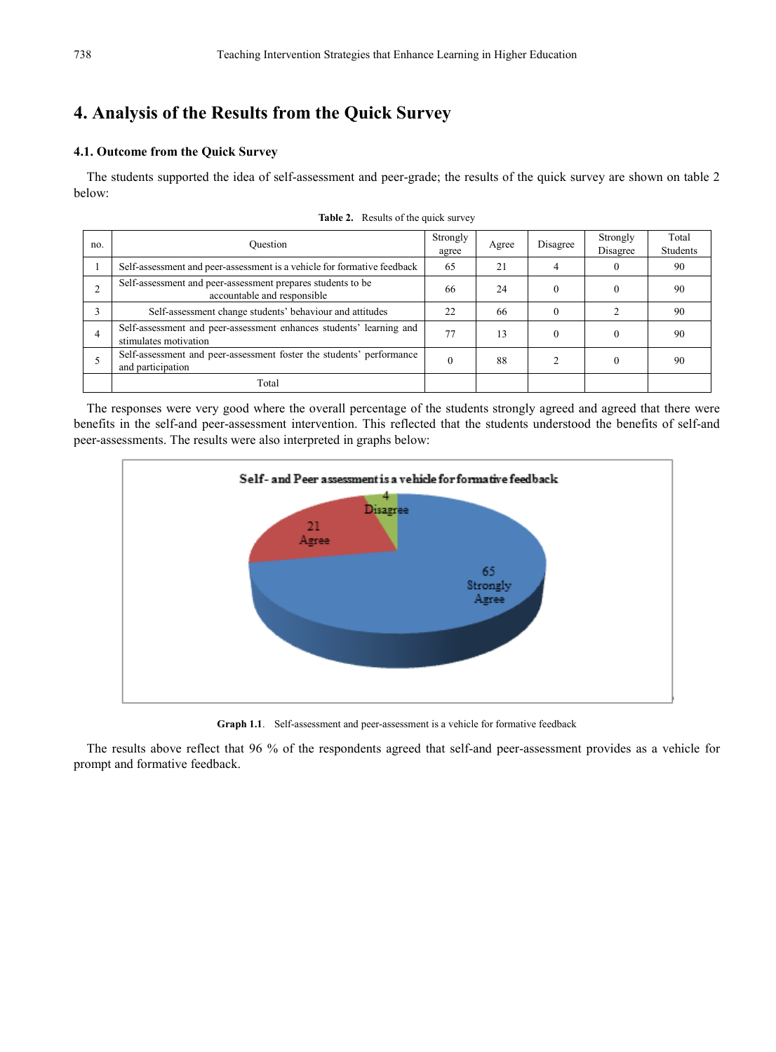# **4. Analysis of the Results from the Quick Survey**

## **4.1. Outcome from the Quick Survey**

The students supported the idea of self-assessment and peer-grade; the results of the quick survey are shown on table 2 below:

| no. | Ouestion                                                                                     | Strongly<br>agree | Agree | Disagree | Strongly<br>Disagree | Total<br>Students |
|-----|----------------------------------------------------------------------------------------------|-------------------|-------|----------|----------------------|-------------------|
|     | Self-assessment and peer-assessment is a vehicle for formative feedback                      | 65                | 21    |          |                      | 90                |
|     | Self-assessment and peer-assessment prepares students to be<br>accountable and responsible   | 66                | 24    |          |                      | 90                |
|     | Self-assessment change students' behaviour and attitudes                                     | 22                | 66    |          |                      | 90                |
| 4   | Self-assessment and peer-assessment enhances students' learning and<br>stimulates motivation | 77                | 13    |          |                      | -90               |
|     | Self-assessment and peer-assessment foster the students' performance<br>and participation    |                   | 88    |          |                      | -90               |
|     | Total                                                                                        |                   |       |          |                      |                   |

Table 2. Results of the quick survey

The responses were very good where the overall percentage of the students strongly agreed and agreed that there were benefits in the self-and peer-assessment intervention. This reflected that the students understood the benefits of self-and peer-assessments. The results were also interpreted in graphs below:



**Graph 1.1**. Self-assessment and peer-assessment is a vehicle for formative feedback

The results above reflect that 96 % of the respondents agreed that self-and peer-assessment provides as a vehicle for prompt and formative feedback.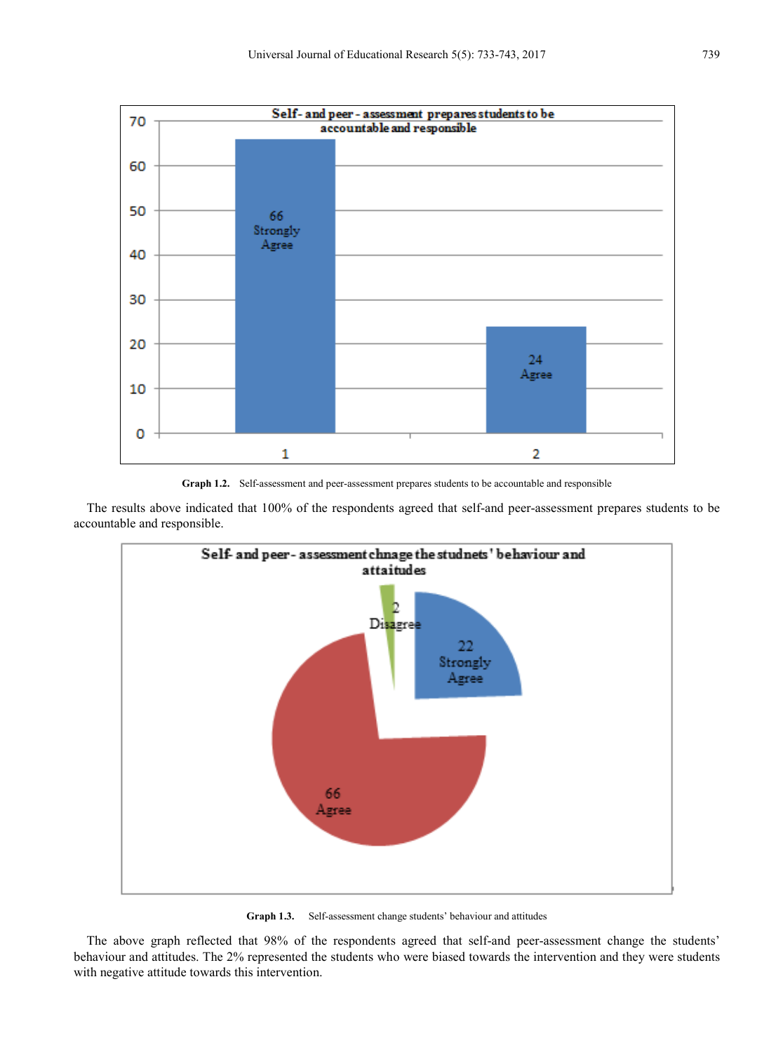

**Graph 1.2.** Self-assessment and peer-assessment prepares students to be accountable and responsible

The results above indicated that 100% of the respondents agreed that self-and peer-assessment prepares students to be accountable and responsible.



**Graph 1.3.** Self-assessment change students' behaviour and attitudes

The above graph reflected that 98% of the respondents agreed that self-and peer-assessment change the students' behaviour and attitudes. The 2% represented the students who were biased towards the intervention and they were students with negative attitude towards this intervention.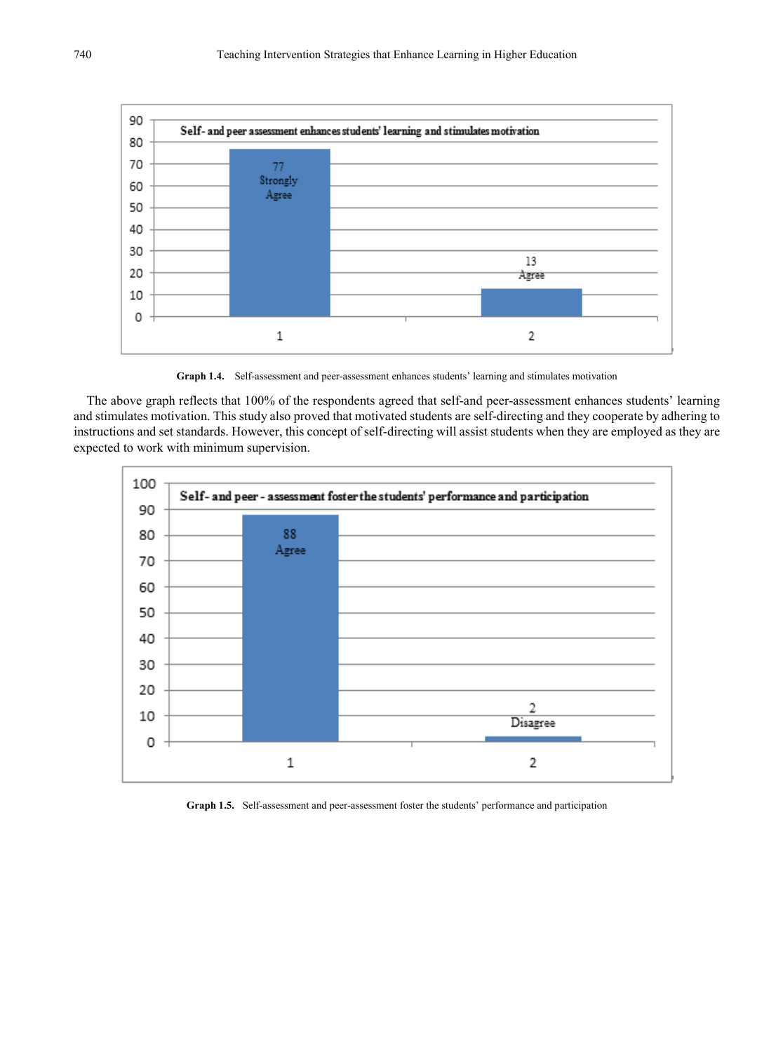

**Graph 1.4.** Self-assessment and peer-assessment enhances students' learning and stimulates motivation

The above graph reflects that 100% of the respondents agreed that self-and peer-assessment enhances students' learning and stimulates motivation. This study also proved that motivated students are self-directing and they cooperate by adhering to instructions and set standards. However, this concept of self-directing will assist students when they are employed as they are expected to work with minimum supervision.



**Graph 1.5.** Self-assessment and peer-assessment foster the students' performance and participation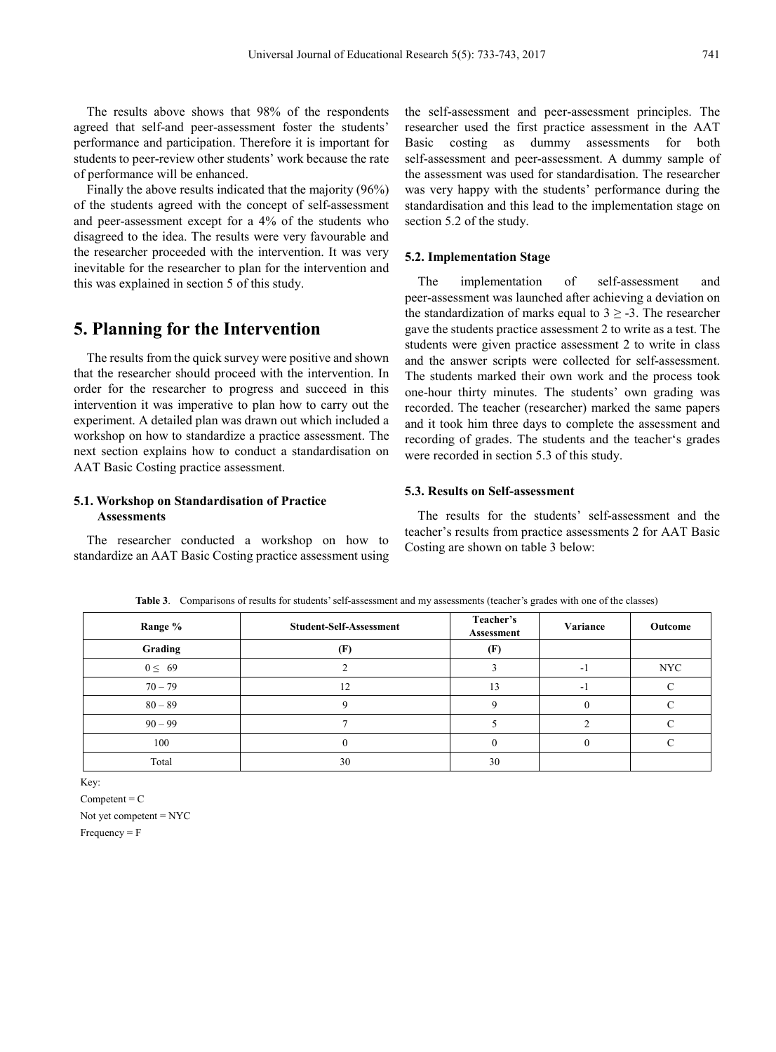The results above shows that 98% of the respondents agreed that self-and peer-assessment foster the students' performance and participation. Therefore it is important for students to peer-review other students' work because the rate of performance will be enhanced.

Finally the above results indicated that the majority (96%) of the students agreed with the concept of self-assessment and peer-assessment except for a 4% of the students who disagreed to the idea. The results were very favourable and the researcher proceeded with the intervention. It was very inevitable for the researcher to plan for the intervention and this was explained in section 5 of this study.

# **5. Planning for the Intervention**

The results from the quick survey were positive and shown that the researcher should proceed with the intervention. In order for the researcher to progress and succeed in this intervention it was imperative to plan how to carry out the experiment. A detailed plan was drawn out which included a workshop on how to standardize a practice assessment. The next section explains how to conduct a standardisation on AAT Basic Costing practice assessment.

## **5.1. Workshop on Standardisation of Practice Assessments**

The researcher conducted a workshop on how to standardize an AAT Basic Costing practice assessment using

the self-assessment and peer-assessment principles. The researcher used the first practice assessment in the AAT Basic costing as dummy assessments for both self-assessment and peer-assessment. A dummy sample of the assessment was used for standardisation. The researcher was very happy with the students' performance during the standardisation and this lead to the implementation stage on section 5.2 of the study.

#### **5.2. Implementation Stage**

The implementation of self-assessment and peer-assessment was launched after achieving a deviation on the standardization of marks equal to  $3 \geq -3$ . The researcher gave the students practice assessment 2 to write as a test. The students were given practice assessment 2 to write in class and the answer scripts were collected for self-assessment. The students marked their own work and the process took one-hour thirty minutes. The students' own grading was recorded. The teacher (researcher) marked the same papers and it took him three days to complete the assessment and recording of grades. The students and the teacher's grades were recorded in section 5.3 of this study.

### **5.3. Results on Self-assessment**

The results for the students' self-assessment and the teacher's results from practice assessments 2 for AAT Basic Costing are shown on table 3 below:

| Range %     | <b>Student-Self-Assessment</b> | Teacher's<br>Assessment | Variance | Outcome    |
|-------------|--------------------------------|-------------------------|----------|------------|
| Grading     | Œ                              | (F)                     |          |            |
| $0 \leq 69$ |                                |                         | - 1      | <b>NYC</b> |
| $70 - 79$   | 12                             | 13                      | $-1$     |            |
| $80 - 89$   |                                |                         |          |            |
| $90 - 99$   |                                |                         |          |            |
| 100         |                                |                         |          |            |
| Total       | 30                             | 30                      |          |            |

**Table 3**. Comparisons of results for students' self-assessment and my assessments (teacher's grades with one of the classes)

Key:

 $Competent = C$ 

Not yet competent = NYC  $Frequency = F$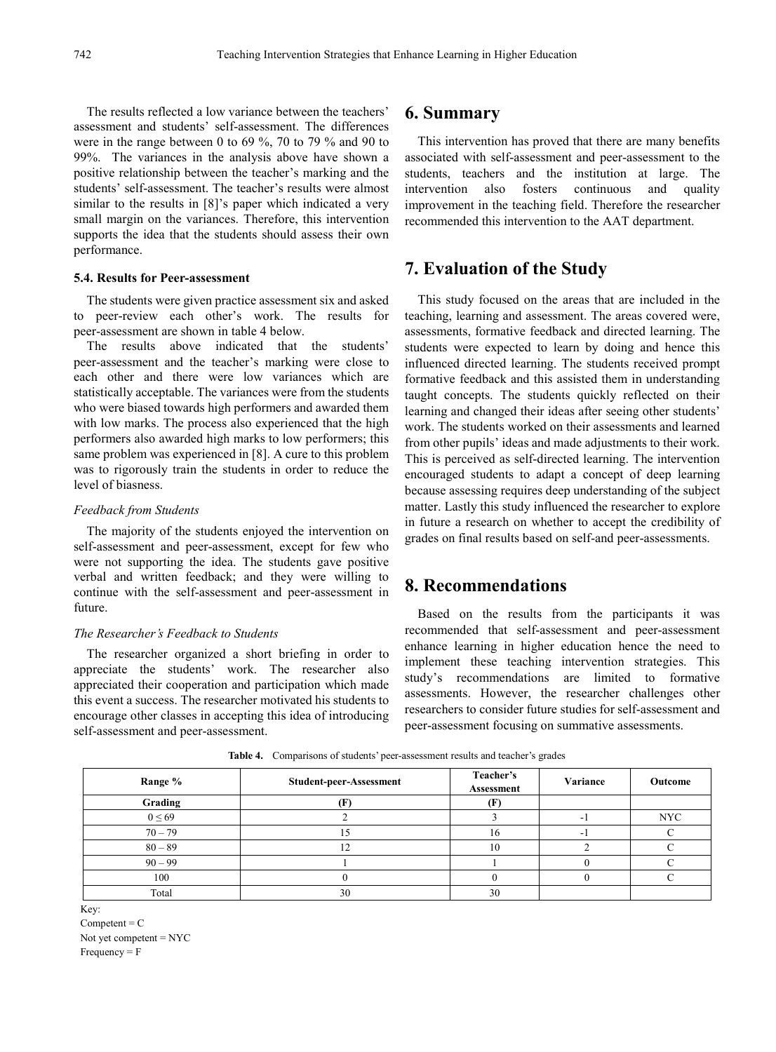The results reflected a low variance between the teachers' assessment and students' self-assessment. The differences were in the range between 0 to 69 %, 70 to 79 % and 90 to 99%. The variances in the analysis above have shown a positive relationship between the teacher's marking and the students' self-assessment. The teacher's results were almost similar to the results in [8]'s paper which indicated a very small margin on the variances. Therefore, this intervention supports the idea that the students should assess their own performance.

#### **5.4. Results for Peer-assessment**

The students were given practice assessment six and asked to peer-review each other's work. The results for peer-assessment are shown in table 4 below.

The results above indicated that the students' peer-assessment and the teacher's marking were close to each other and there were low variances which are statistically acceptable. The variances were from the students who were biased towards high performers and awarded them with low marks. The process also experienced that the high performers also awarded high marks to low performers; this same problem was experienced in [8]. A cure to this problem was to rigorously train the students in order to reduce the level of biasness.

#### *Feedback from Students*

The majority of the students enjoyed the intervention on self-assessment and peer-assessment, except for few who were not supporting the idea. The students gave positive verbal and written feedback; and they were willing to continue with the self-assessment and peer-assessment in future.

## *The Researcher's Feedback to Students*

The researcher organized a short briefing in order to appreciate the students' work. The researcher also appreciated their cooperation and participation which made this event a success. The researcher motivated his students to encourage other classes in accepting this idea of introducing self-assessment and peer-assessment.

# **6. Summary**

This intervention has proved that there are many benefits associated with self-assessment and peer-assessment to the students, teachers and the institution at large. The intervention also fosters continuous and quality improvement in the teaching field. Therefore the researcher recommended this intervention to the AAT department.

# **7. Evaluation of the Study**

This study focused on the areas that are included in the teaching, learning and assessment. The areas covered were, assessments, formative feedback and directed learning. The students were expected to learn by doing and hence this influenced directed learning. The students received prompt formative feedback and this assisted them in understanding taught concepts. The students quickly reflected on their learning and changed their ideas after seeing other students' work. The students worked on their assessments and learned from other pupils' ideas and made adjustments to their work. This is perceived as self-directed learning. The intervention encouraged students to adapt a concept of deep learning because assessing requires deep understanding of the subject matter. Lastly this study influenced the researcher to explore in future a research on whether to accept the credibility of grades on final results based on self-and peer-assessments.

# **8. Recommendations**

Based on the results from the participants it was recommended that self-assessment and peer-assessment enhance learning in higher education hence the need to implement these teaching intervention strategies. This study's recommendations are limited to formative assessments. However, the researcher challenges other researchers to consider future studies for self-assessment and peer-assessment focusing on summative assessments.

| Range %     | Student-peer-Assessment | Teacher's<br>Assessment | Variance | Outcome    |
|-------------|-------------------------|-------------------------|----------|------------|
| Grading     |                         |                         |          |            |
| $0 \leq 69$ |                         |                         | ۰.       | <b>NYC</b> |
| $70 - 79$   |                         | 16                      | - 1      |            |
| $80 - 89$   | ר ו                     | 10                      |          |            |
| $90 - 99$   |                         |                         |          |            |
| 100         |                         |                         |          |            |
| Total       | 30                      | 30                      |          |            |

**Table 4.** Comparisons of students' peer-assessment results and teacher's grades

Key:

 $Competent = C$ Not yet competent = NYC  $Frequency = F$